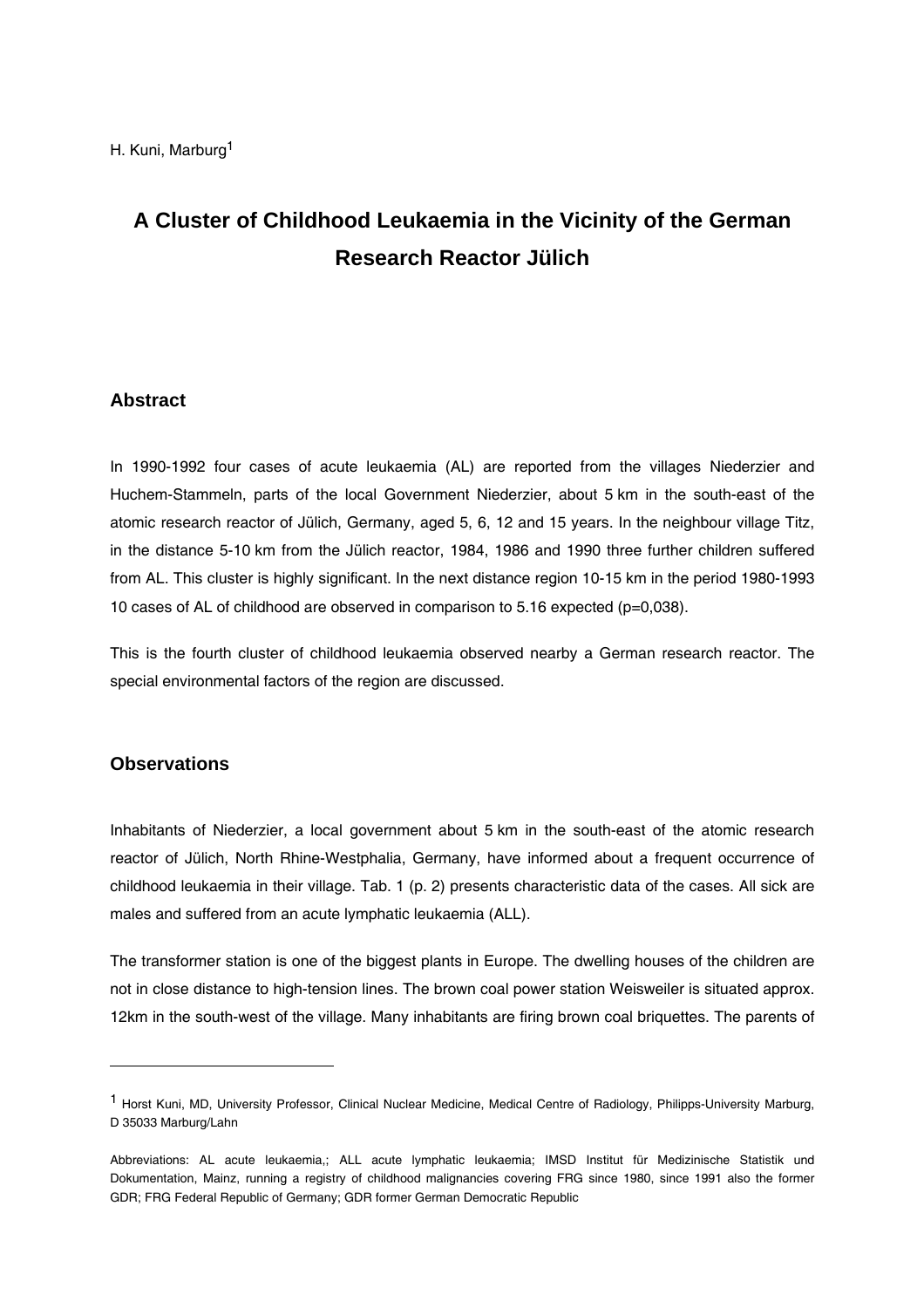# **A Cluster of Childhood Leukaemia in the Vicinity of the German Research Reactor Jülich**

# **Abstract**

In 1990-1992 four cases of acute leukaemia (AL) are reported from the villages Niederzier and Huchem-Stammeln, parts of the local Government Niederzier, about 5 km in the south-east of the atomic research reactor of Jülich, Germany, aged 5, 6, 12 and 15 years. In the neighbour village Titz, in the distance 5-10 km from the Jülich reactor, 1984, 1986 and 1990 three further children suffered from AL. This cluster is highly significant. In the next distance region 10-15 km in the period 1980-1993 10 cases of AL of childhood are observed in comparison to 5.16 expected (p=0,038).

This is the fourth cluster of childhood leukaemia observed nearby a German research reactor. The special environmental factors of the region are discussed.

# **Observations**

l

Inhabitants of Niederzier, a local government about 5 km in the south-east of the atomic research reactor of Jülich, North Rhine-Westphalia, Germany, have informed about a frequent occurrence of childhood leukaemia in their village. Tab. 1 (p. [2\)](#page-1-0) presents characteristic data of the cases. All sick are males and suffered from an acute lymphatic leukaemia (ALL).

The transformer station is one of the biggest plants in Europe. The dwelling houses of the children are not in close distance to high-tension lines. The brown coal power station Weisweiler is situated approx. 12km in the south-west of the village. Many inhabitants are firing brown coal briquettes. The parents of

<sup>1</sup> Horst Kuni, MD, University Professor, Clinical Nuclear Medicine, Medical Centre of Radiology, Philipps-University Marburg, D 35033 Marburg/Lahn

Abbreviations: AL acute leukaemia,; ALL acute lymphatic leukaemia; IMSD Institut für Medizinische Statistik und Dokumentation, Mainz, running a registry of childhood malignancies covering FRG since 1980, since 1991 also the former GDR; FRG Federal Republic of Germany; GDR former German Democratic Republic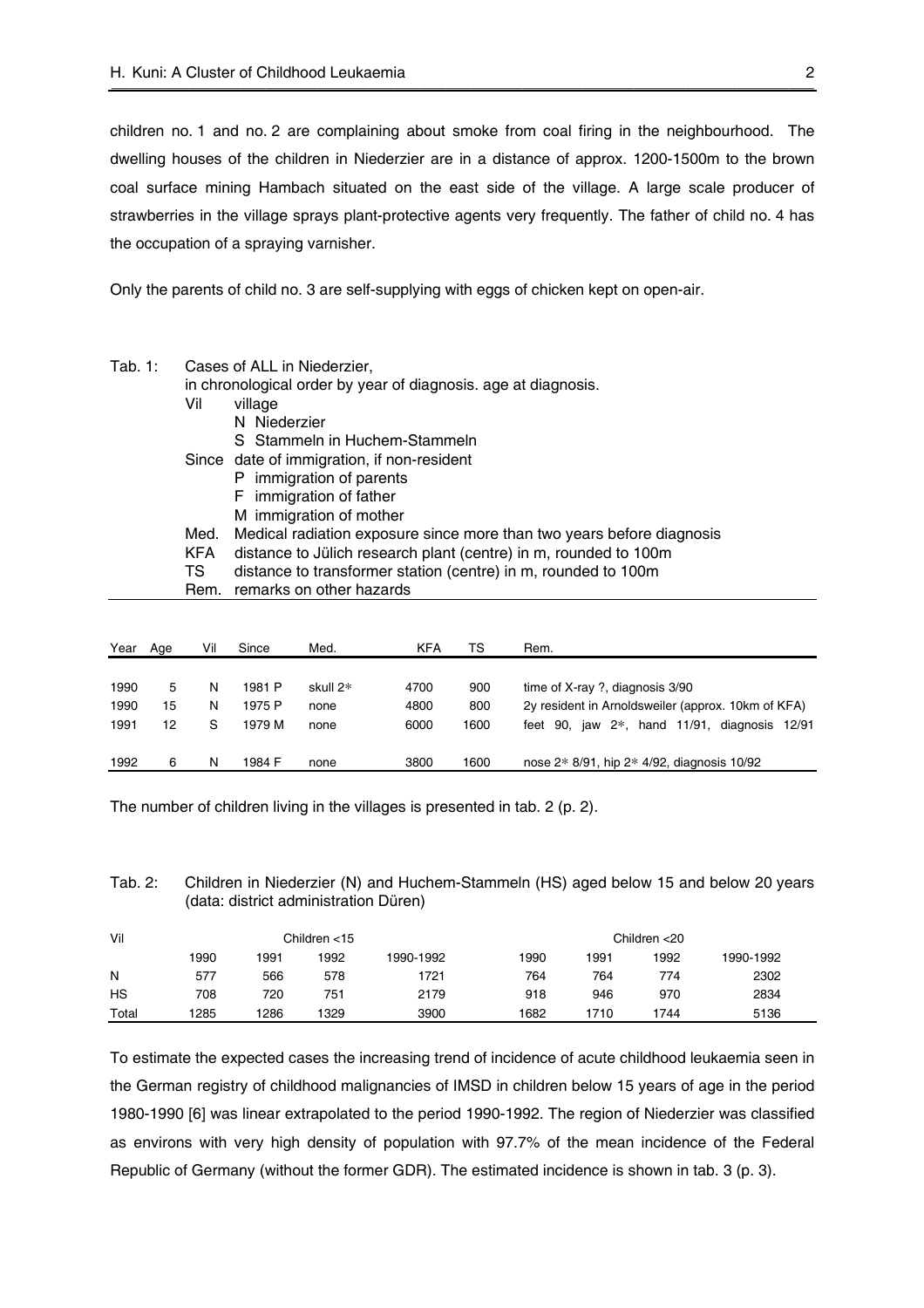<span id="page-1-0"></span>children no. 1 and no. 2 are complaining about smoke from coal firing in the neighbourhood. The dwelling houses of the children in Niederzier are in a distance of approx. 1200-1500m to the brown coal surface mining Hambach situated on the east side of the village. A large scale producer of strawberries in the village sprays plant-protective agents very frequently. The father of child no. 4 has the occupation of a spraying varnisher.

Only the parents of child no. 3 are self-supplying with eggs of chicken kept on open-air.

| Tab. $1:$ | Cases of ALL in Niederzier, |                                                                       |  |  |  |  |  |  |  |  |
|-----------|-----------------------------|-----------------------------------------------------------------------|--|--|--|--|--|--|--|--|
|           |                             | in chronological order by year of diagnosis, age at diagnosis.        |  |  |  |  |  |  |  |  |
|           | Vil                         | village                                                               |  |  |  |  |  |  |  |  |
|           |                             | N Niederzier                                                          |  |  |  |  |  |  |  |  |
|           |                             | S Stammeln in Huchem-Stammeln                                         |  |  |  |  |  |  |  |  |
|           |                             | Since date of immigration, if non-resident                            |  |  |  |  |  |  |  |  |
|           |                             | immigration of parents<br>P.                                          |  |  |  |  |  |  |  |  |
|           |                             | F immigration of father                                               |  |  |  |  |  |  |  |  |
|           |                             | M immigration of mother                                               |  |  |  |  |  |  |  |  |
|           | Med.                        | Medical radiation exposure since more than two years before diagnosis |  |  |  |  |  |  |  |  |
|           | <b>KFA</b>                  | distance to Jülich research plant (centre) in m, rounded to 100m      |  |  |  |  |  |  |  |  |
|           | TS.                         | distance to transformer station (centre) in m, rounded to 100m        |  |  |  |  |  |  |  |  |
|           | Rem.                        | remarks on other hazards                                              |  |  |  |  |  |  |  |  |
|           |                             |                                                                       |  |  |  |  |  |  |  |  |
|           |                             |                                                                       |  |  |  |  |  |  |  |  |

| Year | Age | Vil | Since  | Med.     | <b>KFA</b> | TS   | Rem.                                               |
|------|-----|-----|--------|----------|------------|------|----------------------------------------------------|
|      |     |     |        |          |            |      |                                                    |
| 1990 | 5.  | N   | 1981 P | skull 2* | 4700       | 900  | time of $X$ -ray ?, diagnosis $3/90$               |
| 1990 | 15  | N   | 1975 P | none     | 4800       | 800  | 2y resident in Arnoldsweiler (approx. 10km of KFA) |
| 1991 | 12  | S   | 1979 M | none     | 6000       | 1600 | feet 90, jaw $2^*$ , hand 11/91, diagnosis 12/91   |
| 1992 | 6   | N   | 1984 F | none     | 3800       | 1600 | nose 2* 8/91, hip 2* 4/92, diagnosis 10/92         |

The number of children living in the villages is presented in tab. 2 (p. 2).

Tab. 2: Children in Niederzier (N) and Huchem-Stammeln (HS) aged below 15 and below 20 years (data: district administration Düren)

| Vil   |      |      | Children $<$ 15 |           | Children <20 |      |      |           |  |
|-------|------|------|-----------------|-----------|--------------|------|------|-----------|--|
|       | 1990 | 1991 | 1992            | 1990-1992 | 1990         | 1991 | 1992 | 1990-1992 |  |
| N     | 577  | 566  | 578             | 1721      | 764          | 764  | 774  | 2302      |  |
| HS    | 708  | 720  | 751             | 2179      | 918          | 946  | 970  | 2834      |  |
| Total | 1285 | 1286 | 1329            | 3900      | 1682         | 1710 | 1744 | 5136      |  |

To estimate the expected cases the increasing trend of incidence of acute childhood leukaemia seen in the German registry of childhood malignancies of IMSD in children below 15 years of age in the period 1980-1990 [\[6\]](#page-5-0) was linear extrapolated to the period 1990-1992. The region of Niederzier was classified as environs with very high density of population with 97.7% of the mean incidence of the Federal Republic of Germany (without the former GDR). The estimated incidence is shown in tab. 3 (p. [3\)](#page-2-0).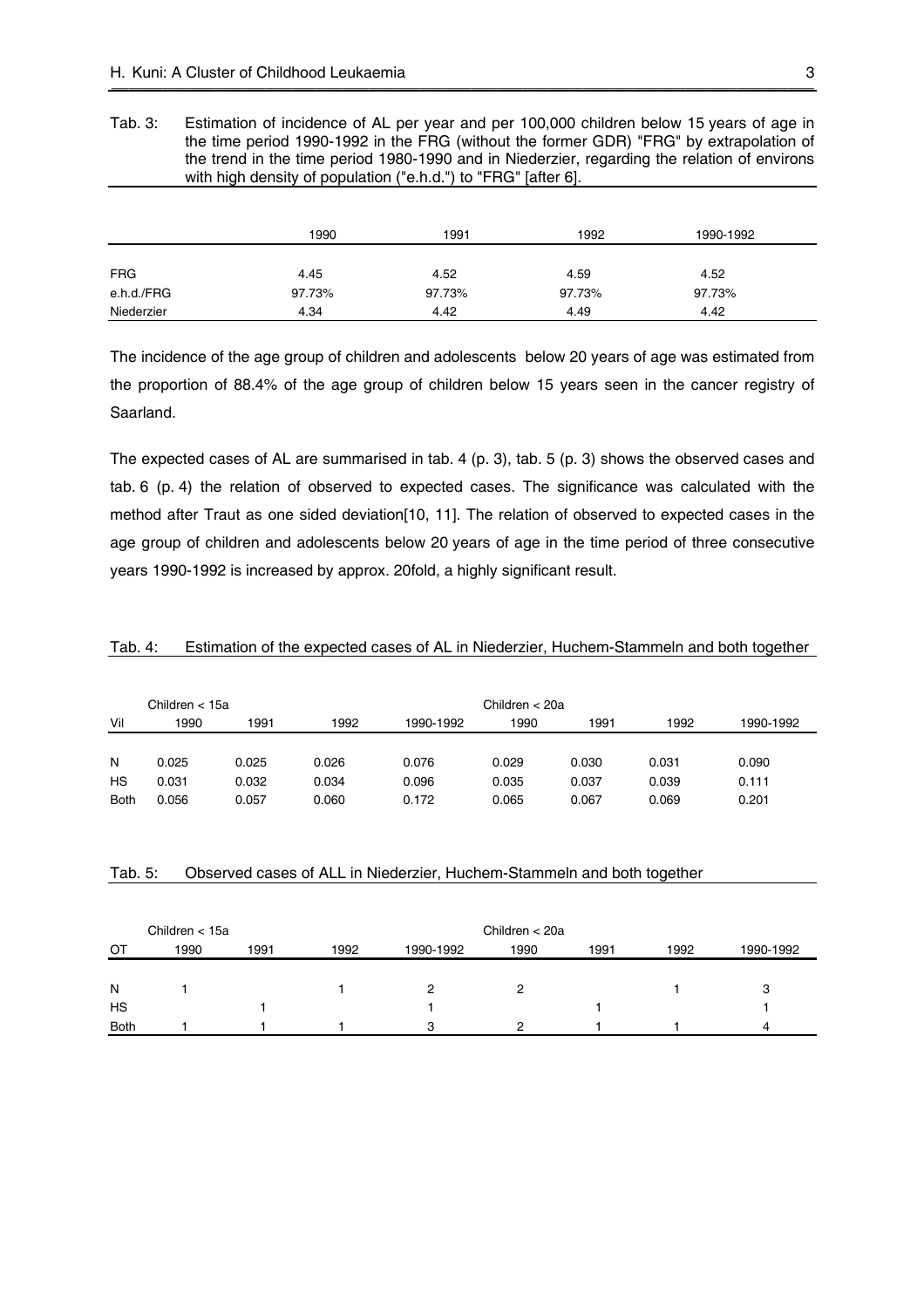<span id="page-2-0"></span>Tab. 3: Estimation of incidence of AL per year and per 100,000 children below 15 years of age in the time period 1990-1992 in the FRG (without the former GDR) "FRG" by extrapolation of the trend in the time period 1980-1990 and in Niederzier, regarding the relation of environs with high density of population ("e.h.d.") to "FRG" [after [6\]](#page-5-0).

|            | 1990   | 1991   | 1992   | 1990-1992 |  |
|------------|--------|--------|--------|-----------|--|
|            |        |        |        |           |  |
| <b>FRG</b> | 4.45   | 4.52   | 4.59   | 4.52      |  |
| e.h.d./FRG | 97.73% | 97.73% | 97.73% | 97.73%    |  |
| Niederzier | 4.34   | 4.42   | 4.49   | 4.42      |  |

The incidence of the age group of children and adolescents below 20 years of age was estimated from the proportion of 88.4% of the age group of children below 15 years seen in the cancer registry of Saarland.

The expected cases of AL are summarised in tab. 4 (p. 3), tab. 5 (p. 3) shows the observed cases and tab. 6 (p. [4\)](#page-3-0) the relation of observed to expected cases. The significance was calculated with the method after Traut as one sided deviation[[10,](#page-5-0) [11\].](#page-6-0) The relation of observed to expected cases in the age group of children and adolescents below 20 years of age in the time period of three consecutive years 1990-1992 is increased by approx. 20fold, a highly significant result.

#### Tab. 4: Estimation of the expected cases of AL in Niederzier, Huchem-Stammeln and both together

|             | Children < 15a |       |       |           | Children $<$ 20a |       |       |           |
|-------------|----------------|-------|-------|-----------|------------------|-------|-------|-----------|
| Vil         | 1990           | 1991  | 1992  | 1990-1992 | 1990             | 1991  | 1992  | 1990-1992 |
|             |                |       |       |           |                  |       |       |           |
| N           | 0.025          | 0.025 | 0.026 | 0.076     | 0.029            | 0.030 | 0.031 | 0.090     |
| HS          | 0.031          | 0.032 | 0.034 | 0.096     | 0.035            | 0.037 | 0.039 | 0.111     |
| <b>Both</b> | 0.056          | 0.057 | 0.060 | 0.172     | 0.065            | 0.067 | 0.069 | 0.201     |

#### Tab. 5: Observed cases of ALL in Niederzier, Huchem-Stammeln and both together

|             | Children < 15a |      |      | Children $<$ 20a |      |      |      |           |
|-------------|----------------|------|------|------------------|------|------|------|-----------|
| OТ          | 1990           | 1991 | 1992 | 1990-1992        | 1990 | 1991 | 1992 | 1990-1992 |
|             |                |      |      |                  |      |      |      |           |
| N           |                |      |      |                  |      |      |      | 3         |
| <b>HS</b>   |                |      |      |                  |      |      |      |           |
| <b>Both</b> |                |      |      | 3                |      |      |      | 4         |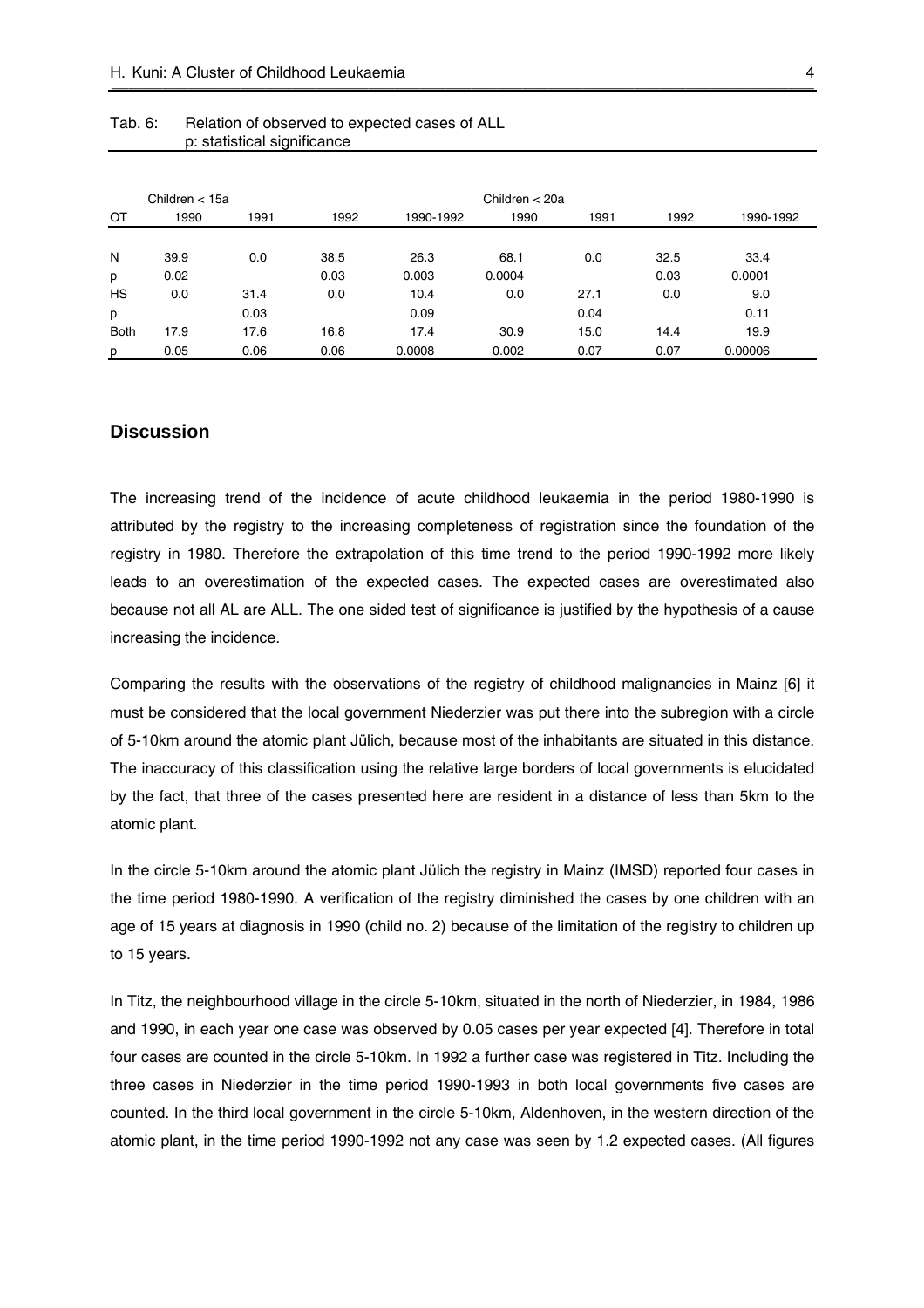|             | Children $<$ 15a |      |      |           |        | Children $<$ 20a |      |           |  |  |
|-------------|------------------|------|------|-----------|--------|------------------|------|-----------|--|--|
| ОT          | 1990             | 1991 | 1992 | 1990-1992 | 1990   | 1991             | 1992 | 1990-1992 |  |  |
|             |                  |      |      |           |        |                  |      |           |  |  |
| N           | 39.9             | 0.0  | 38.5 | 26.3      | 68.1   | 0.0              | 32.5 | 33.4      |  |  |
| p           | 0.02             |      | 0.03 | 0.003     | 0.0004 |                  | 0.03 | 0.0001    |  |  |
| HS          | 0.0              | 31.4 | 0.0  | 10.4      | 0.0    | 27.1             | 0.0  | 9.0       |  |  |
| p           |                  | 0.03 |      | 0.09      |        | 0.04             |      | 0.11      |  |  |
| <b>Both</b> | 17.9             | 17.6 | 16.8 | 17.4      | 30.9   | 15.0             | 14.4 | 19.9      |  |  |
| p           | 0.05             | 0.06 | 0.06 | 0.0008    | 0.002  | 0.07             | 0.07 | 0.00006   |  |  |

#### <span id="page-3-0"></span>Tab. 6: Relation of observed to expected cases of ALL p: statistical significance

# **Discussion**

The increasing trend of the incidence of acute childhood leukaemia in the period 1980-1990 is attributed by the registry to the increasing completeness of registration since the foundation of the registry in 1980. Therefore the extrapolation of this time trend to the period 1990-1992 more likely leads to an overestimation of the expected cases. The expected cases are overestimated also because not all AL are ALL. The one sided test of significance is justified by the hypothesis of a cause increasing the incidence.

Comparing the results with the observations of the registry of childhood malignancies in Mainz [[6\]](#page-5-0) it must be considered that the local government Niederzier was put there into the subregion with a circle of 5-10km around the atomic plant Jülich, because most of the inhabitants are situated in this distance. The inaccuracy of this classification using the relative large borders of local governments is elucidated by the fact, that three of the cases presented here are resident in a distance of less than 5km to the atomic plant.

In the circle 5-10km around the atomic plant Jülich the registry in Mainz (IMSD) reported four cases in the time period 1980-1990. A verification of the registry diminished the cases by one children with an age of 15 years at diagnosis in 1990 (child no. 2) because of the limitation of the registry to children up to 15 years.

In Titz, the neighbourhood village in the circle 5-10km, situated in the north of Niederzier, in 1984, 1986 and 1990, in each year one case was observed by 0.05 cases per year expected [[4\]](#page-5-0). Therefore in total four cases are counted in the circle 5-10km. In 1992 a further case was registered in Titz. Including the three cases in Niederzier in the time period 1990-1993 in both local governments five cases are counted. In the third local government in the circle 5-10km, Aldenhoven, in the western direction of the atomic plant, in the time period 1990-1992 not any case was seen by 1.2 expected cases. (All figures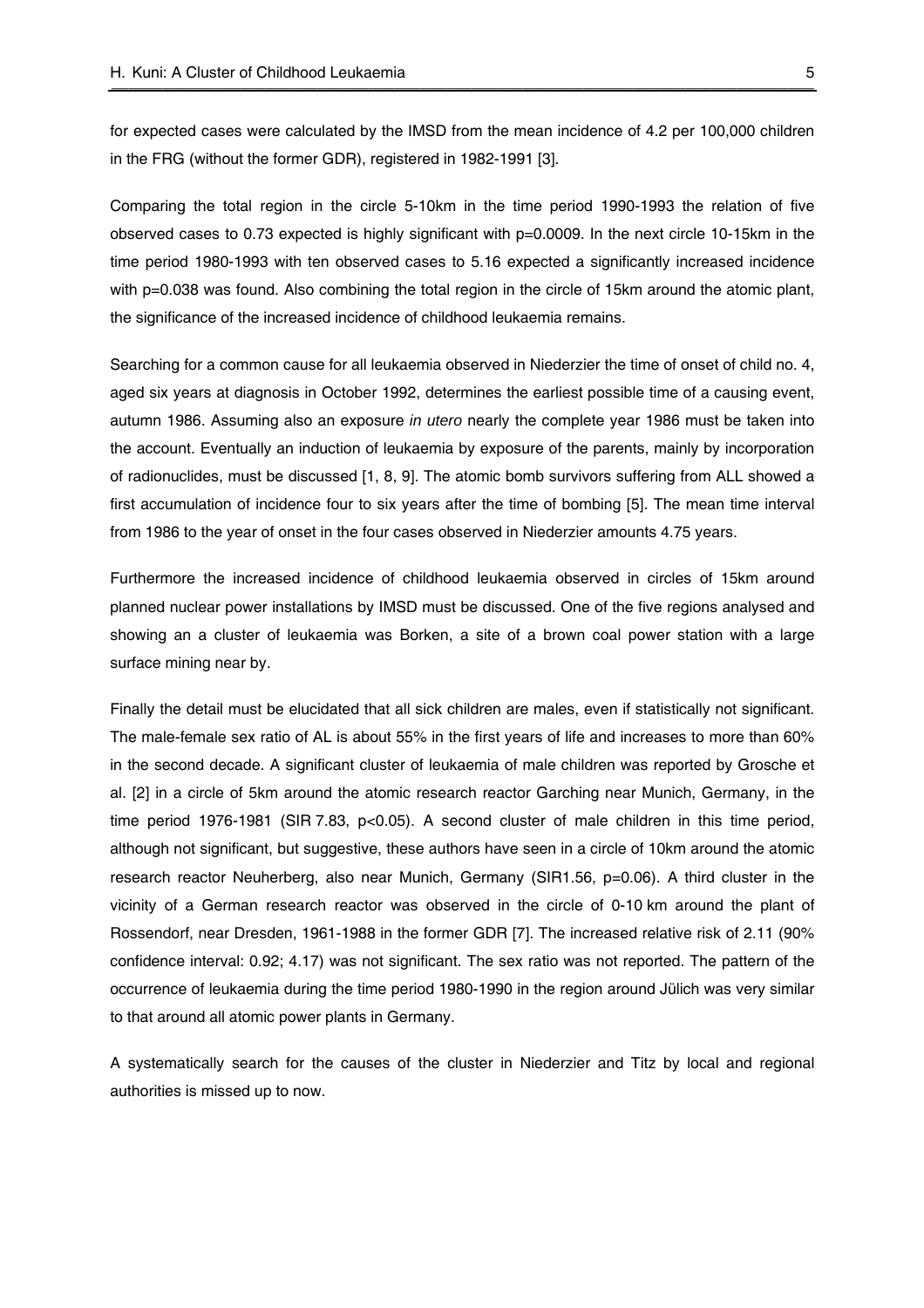for expected cases were calculated by the IMSD from the mean incidence of 4.2 per 100,000 children in the FRG (without the former GDR), registered in 1982-1991 [3].

Comparing the total region in the circle 5-10km in the time period 1990-1993 the relation of five observed cases to 0.73 expected is highly significant with p=0.0009. In the next circle 10-15km in the time period 1980-1993 with ten observed cases to 5.16 expected a significantly increased incidence with p=0.038 was found. Also combining the total region in the circle of 15km around the atomic plant, the significance of the increased incidence of childhood leukaemia remains.

Searching for a common cause for all leukaemia observed in Niederzier the time of onset of child no. 4, aged six years at diagnosis in Octob[er 1992](#page-5-0), determines the earliest possible time of a causing event, autumn 1986. Assuming also an exposure *in utero* nearly the complete ye[ar](#page-5-0) 1986 must be taken into the account. Eventually an induction of leukaemia by exposure of the parents, mainly by incorporation of radionuclides, must be discussed [1, 8, 9]. The atomic bomb survivors suffering from ALL showed a first accumulation of incidence four to six years after the time of bombing [5]. The mean time interval from 1986 to the year of onset in the four cases observed in Niederzier amounts 4.75 years.

Furthermore the increased incidence of childhood leukaemia observed in circles of 15km around planned nuclear power installations by IMSD must be discussed. One of the five regions analysed and showing an a cluster of leukaemia was Borken, a site of a brown coal power station with a large surface mining near by.

Fin[ally](#page-5-0) the detail must be elucidated that all sick children are males, even if statistically not significant. The male-female sex ratio of AL is about 55% in the first years of life and increases to more than 60% in the second decade. A significant cluster of leukaemia of male children was reported by Grosche et al. [2] in a circle of 5km around the atomic research reactor Garching near Munich, Germany, in the time period 1976-1981 (SIR 7.83, p<0.05). A second cluster of male children in this time period, although not significant, but suggestive, these authors hav[e s](#page-5-0)een in a circle of 10km around the atomic research reactor Neuherberg, also near Munich, Germany (SIR1.56, p=0.06). A third cluster in the vicinity of a German research reactor was observed in the circle of 0-10 km around the plant of Rossendorf, near Dresden, 1961-1988 in the former GDR [7]. The increased relative risk of 2.11 (90% confidence interval: 0.92; 4.17) was not significant. The sex ratio was not reported. The pattern of the occurrence of leukaemia during the time period 1980-1990 in the region around Jülich was very similar to that around all atomic power plants in Germany.

A systematically search for the causes of the cluster in Niederzier and Titz by local and regional authorities is missed up to now.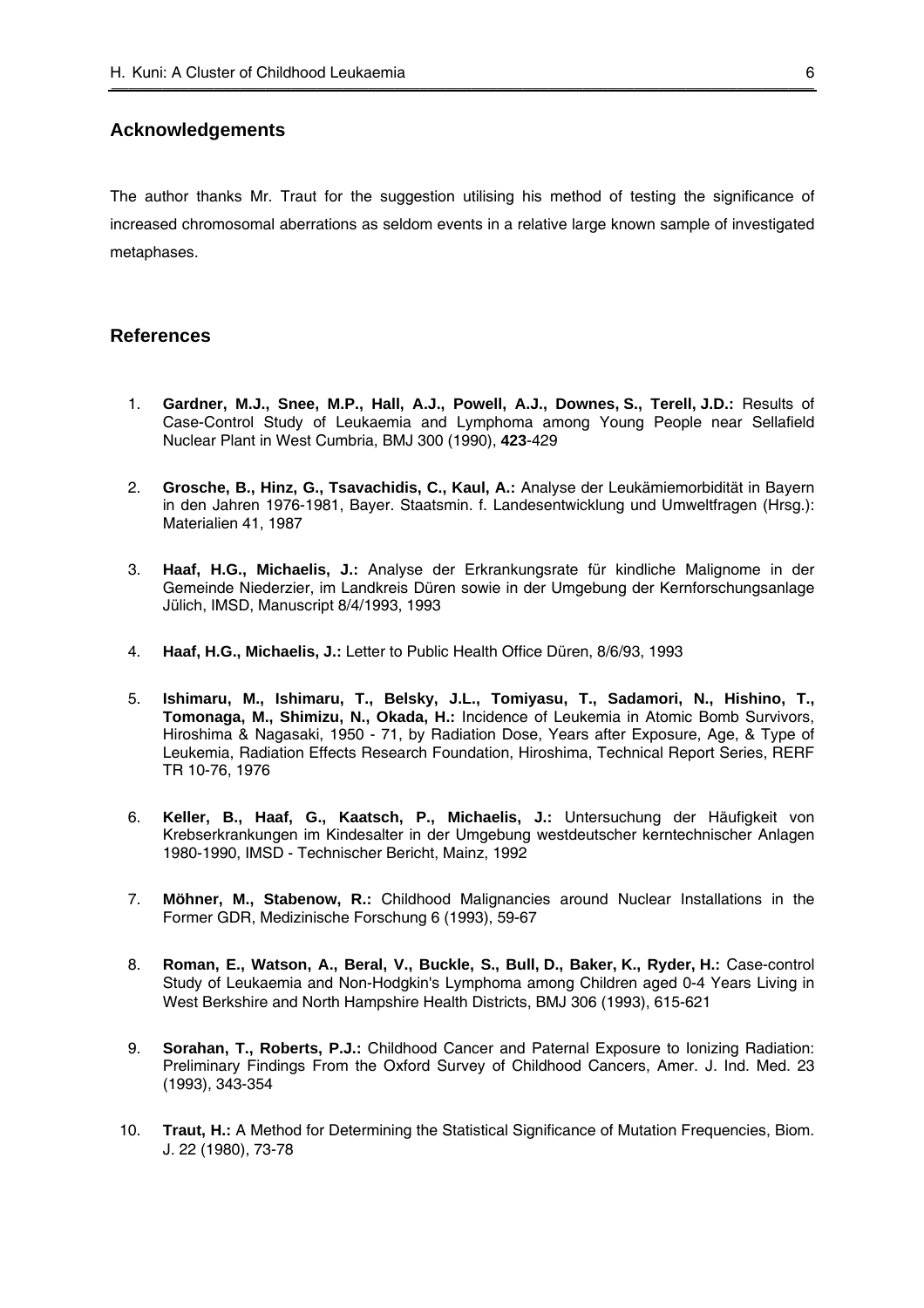# <span id="page-5-0"></span>**Acknowledgements**

The author thanks Mr. Traut for the suggestion utilising his method of testing the significance of increased chromosomal aberrations as seldom events in a relative large known sample of investigated metaphases.

# **References**

- 1. **Gardner, M.J., Snee, M.P., Hall, A.J., Powell, A.J., Downes, S., Terell, J.D.:** Results of Case-Control Study of Leukaemia and Lymphoma among Young People near Sellafield Nuclear Plant in West Cumbria, BMJ 300 (1990), **423**-429
- 2. **Grosche, B., Hinz, G., Tsavachidis, C., Kaul, A.: Analyse der Leukämiemorbidität in Bayern** in den Jahren 1976-1981, Bayer. Staatsmin. f. Landesentwicklung und Umweltfragen (Hrsg.): Materialien 41, 1987
- 3. **Haaf, H.G., Michaelis, J.:** Analyse der Erkrankungsrate für kindliche Malignome in der Gemeinde Niederzier, im Landkreis Düren sowie in der Umgebung der Kernforschungsanlage Jülich, IMSD, Manuscript 8/4/1993, 1993
- 4. **Haaf, H.G., Michaelis, J.:** Letter to Public Health Office Düren, 8/6/93, 1993
- 5. **Ishimaru, M., Ishimaru, T., Belsky, J.L., Tomiyasu, T., Sadamori, N., Hishino, T., Tomonaga, M., Shimizu, N., Okada, H.:** Incidence of Leukemia in Atomic Bomb Survivors, Hiroshima & Nagasaki, 1950 - 71, by Radiation Dose, Years after Exposure, Age, & Type of Leukemia, Radiation Effects Research Foundation, Hiroshima, Technical Report Series, RERF TR 10-76, 1976
- 6. Keller, B., Haaf, G., Kaatsch, P., Michaelis, J.: Untersuchung der Häufigkeit von Krebserkrankungen im Kindesalter in der Umgebung westdeutscher kerntechnischer Anlagen 1980-1990, IMSD - Technischer Bericht, Mainz, 1992
- 7. **Möhner, M., Stabenow, R.:** Childhood Malignancies around Nuclear Installations in the Former GDR, Medizinische Forschung 6 (1993), 59-67
- 8. **Roman, E., Watson, A., Beral, V., Buckle, S., Bull, D., Baker, K., Ryder, H.:** Case-control Study of Leukaemia and Non-Hodgkin's Lymphoma among Children aged 0-4 Years Living in West Berkshire and North Hampshire Health Districts, BMJ 306 (1993), 615-621
- 9. **Sorahan, T., Roberts, P.J.:** Childhood Cancer and Paternal Exposure to Ionizing Radiation: Preliminary Findings From the Oxford Survey of Childhood Cancers, Amer. J. Ind. Med. 23 (1993), 343-354
- 10. **Traut, H.:** A Method for Determining the Statistical Significance of Mutation Frequencies, Biom. J. 22 (1980), 73-78